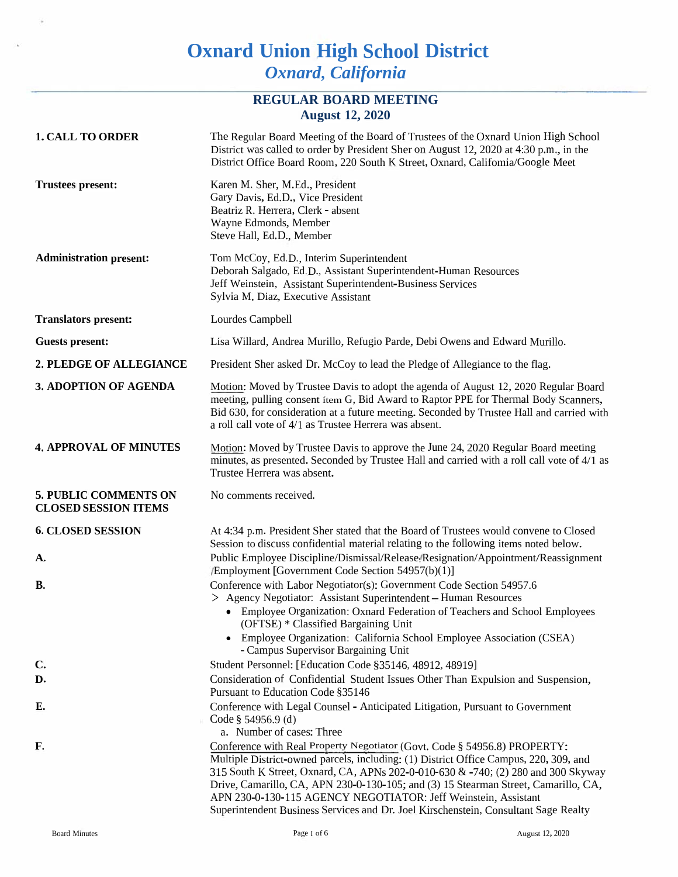# **Oxnard Union High School District** *Oxnard, California*

### **REGULAR BOARD MEETING August 12, 2020**

| <b>1. CALL TO ORDER</b>                                     | The Regular Board Meeting of the Board of Trustees of the Oxnard Union High School<br>District was called to order by President Sher on August 12, 2020 at 4:30 p.m., in the<br>District Office Board Room, 220 South K Street, Oxnard, Califomia/Google Meet                                                                                                                                                                                                                                           |
|-------------------------------------------------------------|---------------------------------------------------------------------------------------------------------------------------------------------------------------------------------------------------------------------------------------------------------------------------------------------------------------------------------------------------------------------------------------------------------------------------------------------------------------------------------------------------------|
| <b>Trustees present:</b>                                    | Karen M. Sher, M.Ed., President<br>Gary Davis, Ed.D., Vice President<br>Beatriz R. Herrera, Clerk - absent<br>Wayne Edmonds, Member<br>Steve Hall, Ed.D., Member                                                                                                                                                                                                                                                                                                                                        |
| <b>Administration present:</b>                              | Tom McCoy, Ed.D., Interim Superintendent<br>Deborah Salgado, Ed.D., Assistant Superintendent-Human Resources<br>Jeff Weinstein, Assistant Superintendent-Business Services<br>Sylvia M. Diaz, Executive Assistant                                                                                                                                                                                                                                                                                       |
| <b>Translators present:</b>                                 | Lourdes Campbell                                                                                                                                                                                                                                                                                                                                                                                                                                                                                        |
| <b>Guests present:</b>                                      | Lisa Willard, Andrea Murillo, Refugio Parde, Debi Owens and Edward Murillo.                                                                                                                                                                                                                                                                                                                                                                                                                             |
| 2. PLEDGE OF ALLEGIANCE                                     | President Sher asked Dr. McCoy to lead the Pledge of Allegiance to the flag.                                                                                                                                                                                                                                                                                                                                                                                                                            |
| 3. ADOPTION OF AGENDA                                       | Motion: Moved by Trustee Davis to adopt the agenda of August 12, 2020 Regular Board<br>meeting, pulling consent item G, Bid Award to Raptor PPE for Thermal Body Scanners,<br>Bid 630, for consideration at a future meeting. Seconded by Trustee Hall and carried with<br>a roll call vote of 4/1 as Trustee Herrera was absent.                                                                                                                                                                       |
| <b>4. APPROVAL OF MINUTES</b>                               | Motion: Moved by Trustee Davis to approve the June 24, 2020 Regular Board meeting<br>minutes, as presented. Seconded by Trustee Hall and carried with a roll call vote of 4/1 as<br>Trustee Herrera was absent.                                                                                                                                                                                                                                                                                         |
| <b>5. PUBLIC COMMENTS ON</b><br><b>CLOSED SESSION ITEMS</b> | No comments received.                                                                                                                                                                                                                                                                                                                                                                                                                                                                                   |
| <b>6. CLOSED SESSION</b>                                    | At 4:34 p.m. President Sher stated that the Board of Trustees would convene to Closed<br>Session to discuss confidential material relating to the following items noted below.                                                                                                                                                                                                                                                                                                                          |
| А,                                                          | Public Employee Discipline/Dismissal/Release/Resignation/Appointment/Reassignment<br>/Employment [Government Code Section 54957(b)(1)]                                                                                                                                                                                                                                                                                                                                                                  |
| <b>B.</b>                                                   | Conference with Labor Negotiator(s): Government Code Section 54957.6<br>> Agency Negotiator: Assistant Superintendent - Human Resources<br>• Employee Organization: Oxnard Federation of Teachers and School Employees<br>(OFTSE) * Classified Bargaining Unit<br>• Employee Organization: California School Employee Association (CSEA)<br>- Campus Supervisor Bargaining Unit                                                                                                                         |
| C.                                                          | Student Personnel: [Education Code §35146, 48912, 48919]                                                                                                                                                                                                                                                                                                                                                                                                                                                |
| D.                                                          | Consideration of Confidential Student Issues Other Than Expulsion and Suspension,<br>Pursuant to Education Code §35146                                                                                                                                                                                                                                                                                                                                                                                  |
| Е.                                                          | Conference with Legal Counsel - Anticipated Litigation, Pursuant to Government<br>Code § 54956.9 (d)<br>a. Number of cases: Three                                                                                                                                                                                                                                                                                                                                                                       |
| F.                                                          | Conference with Real Property Negotiator (Govt. Code § 54956.8) PROPERTY:<br>Multiple District-owned parcels, including: (1) District Office Campus, 220, 309, and<br>315 South K Street, Oxnard, CA, APNs 202-0-010-630 & -740; (2) 280 and 300 Skyway<br>Drive, Camarillo, CA, APN 230-0-130-105; and (3) 15 Stearman Street, Camarillo, CA,<br>APN 230-0-130-115 AGENCY NEGOTIATOR: Jeff Weinstein, Assistant<br>Superintendent Business Services and Dr. Joel Kirschenstein, Consultant Sage Realty |

í,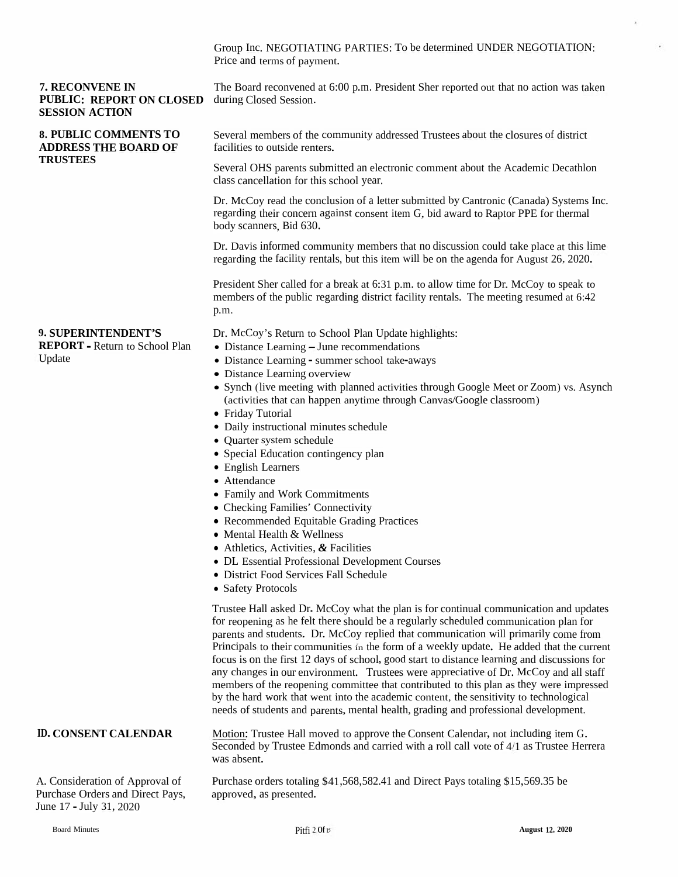Group Inc. NEGOTIATING PARTIES: To be determined UNDER NEGOTIATION:<br>Price and terms of navment. Price and terms of payment.

#### **7. RECONVENE**7. RECONVENE IN<br>PUBLIC: REPORT ON CLOSED<br>SESSION ACTION **SESSION ACTION**

#### **8. PUBLIC COMMENTS TOADDRESS THE BOARD OF TRUSTEES**

The Board reconvened at 6:00 p.m. President Sher reported out that no action was takenduring Closed Session.

Several members of the community addressed Trustees about the closures of district<br>facilities to authida waters facilities to outside renters.

Several OHS parents submitted an electronic comment about the Academic Decathlon<br>class cancellation for this school year. class cancellation for this school year.

Dr. McCoy readDr. McCoy read the conclusion of a letter submitted by Cantronic (Canada) Systems Inc.<br>regarding their concern against consent item G, bid award to Raptor PPE for thermal<br>body scanners. Bid 630. body scanners, Bid 630.

Dr. Davis informed community members that no discussion could take place at this lime regarding the facility rentals, but this item will be on the agenda for August 26, 2020.

President Sher called for a break at 6:31 p.m. to allow time for Dr. McCoy to speak to<br>members of the public regarding district facility rentals. The meeting resumed at 6:42 members of the public regarding district facility rentals. The meeting resumed at 6:42 p.m.

#### **9. SUPERINTENDENT'S**

 **REPORT** - Return to School Plan Update

Dr. McCoy's Return to School Plan Update highlights:

- Distance Learning June recommendations<br>• Distance Learning summer school take-aw
- Distance Learning summer school take-aways
- Distance Learning overview<br>• Synch (live mosting with pla
- Synch (live meeting with planned activities through Google Meet or Zoom) vs. Asynch<br> $\zeta$ (activities that can happen anytime through Canvas/Google classroom)
- Friday Tutorial<br>• Daily instructio
- Daily instructional minutes schedule
- Quarter system
- Quarter system schedule<br>• Special Education contingency plan<br>• English Learners
- English Learners
- Attendance
- Attendance<br>• Family and Work Commitments<br>• Checking Families' Connectivity
- Checking Families' Connectivity
- Recommended Equitable Grading Practices<br>• Mental Health & Wellness
- Mental Health & Wellness
- Mental Health & Wellness<br>• Athletics, Activities, & Fac
- Athletics, Activities, *&* Facilities<br>• DL Essential Professional Development Courses<br>• District Food Services Fall Schadule
- District Food Services Fall Schedule<br>• Safety Protocols
- Safety Protocols

Trustee Hall asked Dr. McCoy what the <sup>p</sup>lan is for continual communication and updates for reopening as he felt there should be a regularly scheduled communication plan for<br>reserves and students. Dr. McCay garlied that communication will primarily agree from parents and students. Dr. McCoy replied that communication will primarily come fromPrincipals to their communities in the form of a weekly update. He added that the cur-<br>form is an the first 12 days of school, good start to distance logning and discussions Principals to their communities in the form of a weekly update. He added that the current focus is on the first 12 days of school, good start to distance learning and discussions for example is our equipment. Trustees were any changes in our environment. Trustees were appreciative of Dr. McCoy and all staff<br>mombers of the recognize committee that contributed to this plan as they were impresses members of the reopening committee that contributed to this plan as they were impressed<br>by the hard weak that went into the conduction contract the consitiuity to technological by the hard work that went into the academic content, the sensitivity to technological needs of students and parents, mental health, grading and professional development.

## **ID. CONSENT CALENDAR**

A. Consideration of Approval of Purchase Orders and Direct Pays, June <sup>17</sup> - July 31, <sup>2020</sup>

**R** Motion: Trustee Hall moved to approve the Consent Calendar, not including item G.<br>Seconded by Trustee Edmonds and carried with a roll call vote of 4/1 as Trustee Herrera<br>was about was absent.

> Purchase orders totaling \$41,568,582.41 and Direct Pays totaling \$15,569.35 be approved, as presented.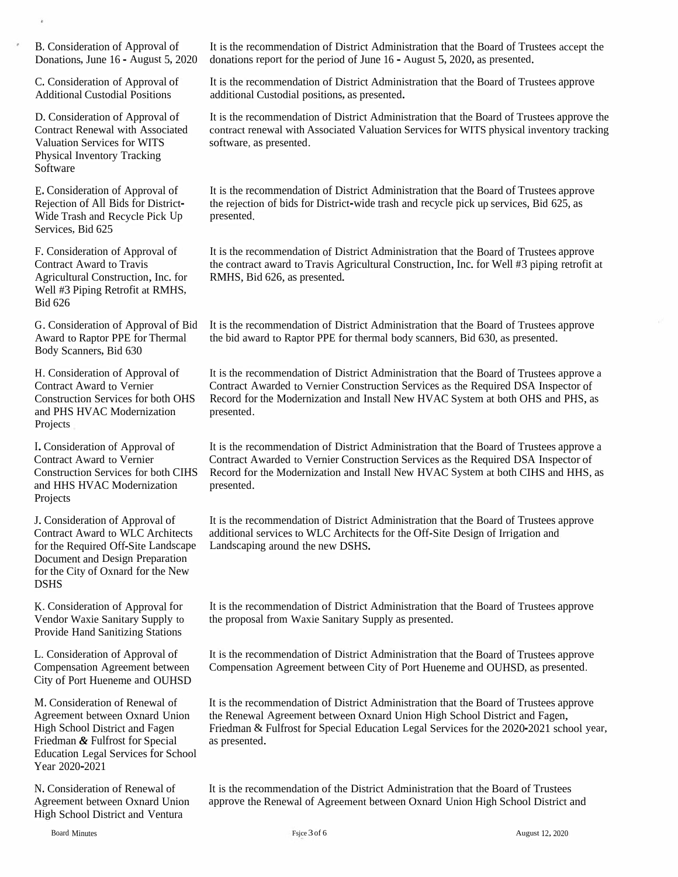B. Consideration of Approval of

Physical Inventory Tracking Software

E. Consideration of Approval of Rejection of All Bids for District- Wide Trash and Recycle Pick Up Services, Bid 625

F. Consideration of Approval of Contract Award to Travis Agricultural Construction, Inc. for Well #3 Piping Retrofit at RMHS, Bid 626

Award to Raptor PPE for Thermal Body Scanners, Bid 630

and PHS HVAC Modernization presented. Projects H. Consideration of Approval of Contract Award to Vernier

I.Consideration of Approval of Contract Award to Vernier and HHS HVAC Modernization presented. Projects

for the Required Off-Site Landscape Landscaping around the new DSHS. Document and Design Preparation for the City of Oxnard for the New DSHS

K. Consideration of Approval for Vendor Waxie Sanitary Supply to Provide Hand Sanitizing Stations

L. Consideration of Approval of Compensation Agreement between City of Port Hueneme and OUHSD

M. Consideration of Renewal of Agreement between Oxnard Union High School District and Fagen Friedman *&* Fulfrost for Special Education Legal Services for School Year 2020-2021

N. Consideration of Renewal of Agreement between Oxnard Union High School District and Ventura

Donations, June 16 - August 5, 2020 donations repor<sup>t</sup> for the period of June 16 - August 5, 2020, as presented.

It is the recommendation of District Administration that the Board of Trustees approve additional Custodial positions, as presented.

It is the recommendation of District Administration that the Board of Trustees approve the contract renewal with Associated Valuation Services for WITS <sup>p</sup>hysical inventory tracking B. Consideration of Approval of<br>
Donations, June 16 - August 5, 2020<br>
C. Consideration of Approval of<br>
C. Consideration of Approval of<br>
It is the recommendation of District Administration that the Board of Trustees approve

> It is the recommendation of District Administration that the Board of Trustees approve the rejection of bids for District-wide trash and recycle pick up services, Bid 625, as presented.

It is the recommendation of District Administration that the Board of Trustees approve the contract award to Travis Agricultural Construction, Inc. for Well #3 piping retrofit at RMHS, Bid 626, as presented.

G.Consideration of Approval of Bid It is the recommendation of District Administration that the Board of Trustees approve the bid award to Raptor PPE for thermal body scanners, Bid 630, as presented.

It is the recommendation of District Administration that the Board of Trustees approve <sup>a</sup> Contract Awarded to Vernier Construction Services as the Required DSA Inspector of Construction Services for both OHS Record for the Modernization and Install New HVAC System at both OHS and PHS, as

Construction Services for both CIHS Record for the Modernization and Install New HVAC System at both CIHS and HHS, as It is the recommendation of District Administration that the Board of Trustees approve <sup>a</sup> Contract Awarded to Vernier Construction Services as the Required DSA Inspector of

J. Consideration of Approval of It is the recommendation of District Administration that the Board of Trustees approve Contract Award to WLC Architects additional services to WLC Architects for the Off-Site Design of Irrigation and

> It is the recommendation of District Administration that the Board of Trustees approve the proposa<sup>l</sup> from Waxie Sanitary Supply as presented.

> It is the recommendation of District Administration that the Board of Trustees approve Compensation Agreement between City of Port Hueneme and OUHSD, as presented.

It is the recommendation of District Administration that the Board of Trustees approve the Renewal Agreement between Oxnard Union High School District and Fagen, Friedman & Fulfrost for Special Education Legal Services for the 2020-2021 school year, as presented.

It is the recommendation of the District Administration that the Board of Trustees approve the Renewal of Agreement between Oxnard Union High School District and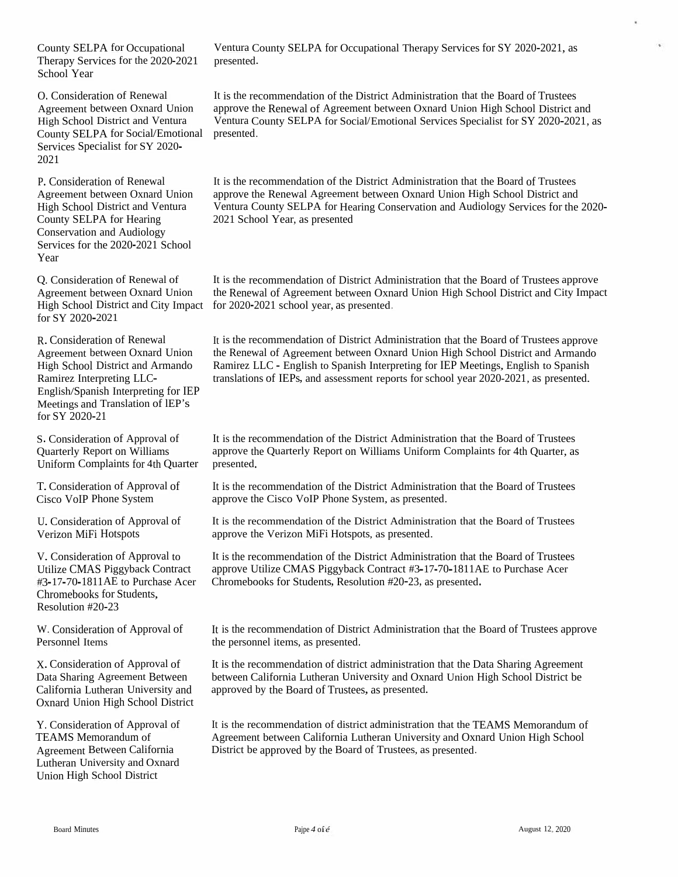County SELPATherapy Services for the 2020-2021 presented.<br>School Year School Year

O. Consideration of Renewal Agreement betweenHigh School District and Ventura Ventura County SELPACounty SELPA for Social/Emotional presented.<br>Services Specialist for SY 2020-Services Specialist for SY 2020-<br>2021

P. Consideration of Renewal Agreement between Oxnard Union High School District and Ventura<br>County SEL BA for Heering County SELPA for Hearing Conservation and Audiology<br>Services for the 2020, 2021, S Services for the 2020-2021 School Year

Q. Consideration of Renewal of Agreement between Oxnard Union High School District and City Impact SY 2020-2021

R. Consideration of Renewal Agreement between Oxnard Union High School District and Armando Ramirez InterpretingRamirez Interpreting LLC-<br>English/Spanish Interpreting for IEP<br>Mestings and Translation of IEP's Meetings and Translation of lEP's<br>fee SY 2020-21 for SY 2020-21

S. Consideration of Approval of Quarterly Report on Williams Uniform Complaints for 4th Quarter presented.

T. Consideration of Approval of<br>Cises VeID Phone System Cisco VoIP Phone System

U. Consideration of Approval of Verizon MiFi Hotspots

V. Consideration of Approval to<br>Utilize CMAS Discribed: Centre Utilize CMAS Piggyback Contract<br>#2.17.70.1811AE to Purchase Acc #3-17-70-1811AE to Purchase Acer Chromebooks for Students, Resolution #20-23

W. Consideration of Approval of Personnel Items

Oxnard Union High School District

Y. Consideration of Approval of TEAMS Memorandum<br>Agreement Between Co TEAMS Memorandum of<br>Agreement Between California<br>La dividentia and Owean Lutheran University and Oxnard<br>Union High School District Union High School District

Ventura County SELPA for Occupational Therapy Services for SY 2020-2021, as presented.

n Oxnard Union approve the Renewal of Agreement between Oxnard Union High School District and<br>at and Venture Uniting County SEL BA for Social Unrational Seminar Specialist for SX 2020, 2021 A for Social/Emotional Services Specialist for SY 2020-2021, as It is the recommendation of the District Administration that the Board of Trustees

> It is the recommendation of the District Administration that the Board of Trustees approve the Renewal Agreement between Oxnard Union High School District and<br>Vanture County SEL BA for Usaring Concernation and Audialasy Semices for the Ventura County SELPA for Hearing Conservation and Audiology Services for the 2020-<br>2021 School Year. as presented 2021 School Year, as presented

> for 2020-2021 school year, as presented. It is the recommendation of District Administration that the Board of Trustees approve<br>the Benevuel of Agreement hetween Ownerd Union Uich School District and City Impo the Renewal of Agreement between Oxnard Union High School District and City Impact<br>for 2020, 2021, wheel were as a meanted.

It is the recommendation of District Administration that the Board of Trustees approve the Renewal of Agreement between Oxnard Union High School District and Armando Ramirez LLC - English to Spanish Interpreting for IEP Meetings, English to Spanish Ramirez LLC - English to Spanish Interpreting for IEP Meetings, English to Spanish translations of IEPs, and assessment reports for school year 2020-2021, as presented.

It is the recommendation of the District Administration that the Board of Trustees approve the Quarterly Report on Williams Uniform Complaints for 4th Quarter, as<br>presented.

It is the recommendation of the District Administration that the Board of Trustees approve the Cisco VoIP Phone System, as presented.

It is the recommendation of the District Administration that the Board of Trustees approve the Verizon MiFi Hotspots, as presented.

It is the recommendation of the District Administration that the Board of Trustees<br>annoys Utilize CMAS Bisoxhael: Contrast #2,17,70,1811AE to Purchase Assu approve Utilize CMAS Piggyback Contract #3-17-70-1811AE to Purchase Acer<br>Chromebooks for Students, Resolution #20-23, as presented Chromebooks for Students, Resolution #20-23, as presented.

It is the recommendation of District Administration that the Board of Trustees approve the personne<sup>l</sup> items, as presented.

It is the recommendation of district administration that the Data Sharing Agreement between California Lutheran University and Oxnard Union High School District be<br>spressed by the Board of Trustees, as presented approved by the BoardX. Consideration of Approval of Fit is the recommendation of district administration<br>Data Sharing Agreement Between California Lutheran University and Oxr<br>California Lutheran University and Fit approved by the Board of Tru

> It is the recommendation of district administration that the TEAMS Memorandum<br>Agreement between Celifornia Lutheren University and Oxnard Union High Scho It is the recommendation of district administration that the TEAMS Memorandum of<br>Agreement between California Lutheran University and Oxnard Union High School<br>District he approved by the Board of Trustees, as presented District be approve<sup>d</sup> by the Board of Trustees, as presented.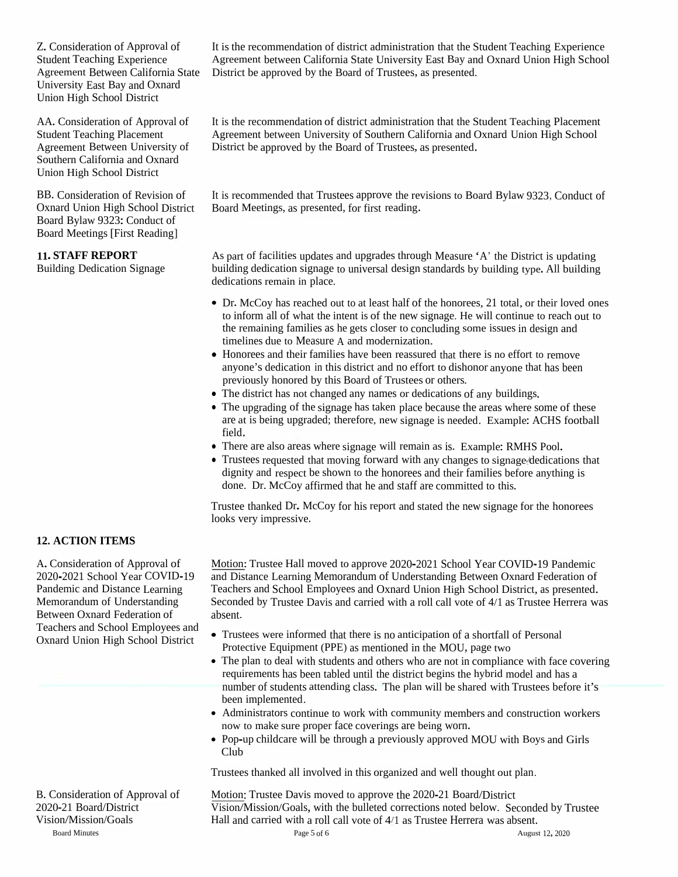Z. Consideration of Approval of Student Teaching Experience University East Bay and Oxnard Union High School District

AA. Consideration of Approval of Student Teaching Placement Agreement Between University of Southern California and Oxnard Union High School District

BB. Consideration of Revision of Oxnard Union High School District Board Bylaw 9323: Conduct of Board Meetings [First Reading]

#### **11. STAFF REPORT**

Building Dedication Signage

District be approved by the Board of Trustees, as presented. It is the recommendation of district administration that the Student Teaching Experience Agreement between California State University East Bay and Oxnard Union High School

It is the recommendation of district administration that the Student Teaching Placement Agreement between University of Southern California and Oxnard Union High School District be approved by the Board of Trustees, as presented.

It is recommended that Trustees approve the revisions to Board Bylaw 9323, Conduct of Board Meetings, as presented, for first reading.

As par<sup>t</sup> of facilities updates and upgrades through Measure 'A' the District is updating building dedication signage to universal design standards by building type. All building dedications remain in place.

- Dr. McCoy has reached out to at least half of the honorees, 21 total, or their loved ones to inform all of what the intent is of the new signage. He will continue to reach out to the remaining families as he gets closer to concluding some issues in design and timelines due to Measure <sup>A</sup> and modernization.
- Honorees and their families have been reassured that there is no effort to remove anyone's dedication in this district and no effort to dishonor anyone that has been previously honored by this Board of Trustees or others.
- The district has not changed any names or dedications of any buildings.
- The upgrading of the signage has taken place because the areas where some of these are at is being upgraded; therefore, new signage is needed. Example: ACHS football field.
- There are also areas where signage will remain as is. Example: RMHS Pool.
- Trustees requested that moving forward with any changes to signage- dedications that dignity and respec<sup>t</sup> be shown to the honorees and their families before anything is done. Dr. McCoy affirmed that he and staff are committed to this.

Trustee thanked Dr. McCoy for his repor<sup>t</sup> and stated the new signage for the honorees looks very impressive.

#### **12. ACTION ITEMS**

A. Consideration of Approval of 2020-2021 School Year COVID-19 Pandemic and Distance Learning Memorandum of Understanding Between Oxnard Federation of Teachers and School Employees and Oxnard Union High School District

Motion:Trustee Hall moved to approve 2020-2021 School Year COVID-19 Pandemic and Distance Learning Memorandum of Understanding Between Oxnard Federation of Teachers and School Employees and Oxnard Union High School District, as presented. Seconded by Trustee Davis and carried with <sup>a</sup> roll call vote of 4/1 as Trustee Herrera was absent.

- Trustees were informed that there is no anticipation of <sup>a</sup> shortfall of Personal Protective Equipment (PPE) as mentioned in the MOU, page two
- The plan to deal with students and others who are not in compliance with face covering requirements has been tabled until the district begins the hybrid model and has <sup>a</sup> number of students attending class. The <sup>p</sup>lan will be shared with Trustees before it's been implemented.
- Administrators continue to work with community members and construction workers now to make sure proper face coverings are being worn.
- Pop-up childcare will be through <sup>a</sup> previously approve<sup>d</sup> MOU with Boys and Girls Club

Trustees thanked all involved in this organized and well thought out <sup>p</sup>lan.

Motion: Trustee Davis moved to approve the 2020-21 Board/District Vision/Mission/Goals, with the bulleted corrections noted below. Seconded by Trustee Hall and carried with <sup>a</sup> roll call vote of 4/1 as Trustee Herrera was absent.

B. Consideration of Approval of 2020-21 Board/District Vision/Mission/Goals Board Minutes and the settlement of the settlement of the Page 5 of 6 and 12, 2020 and Minutes and August 12, 2020